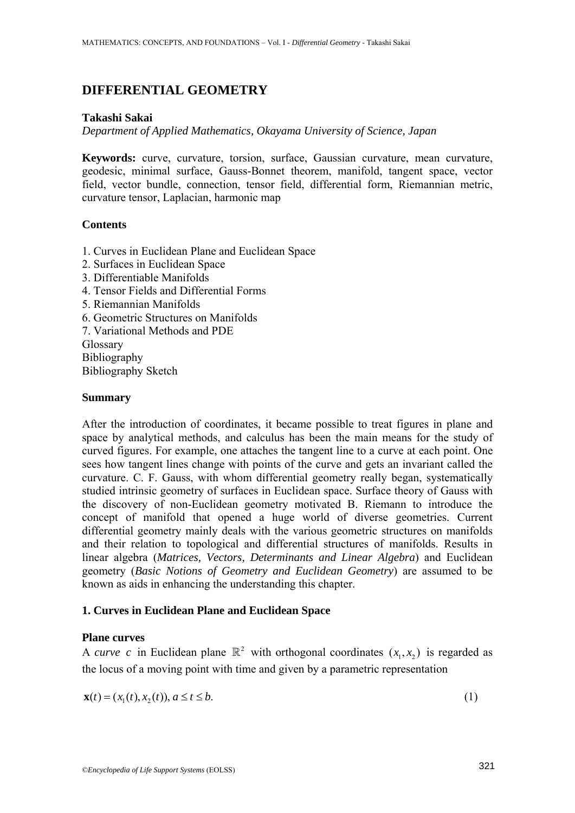# **DIFFERENTIAL GEOMETRY**

## **Takashi Sakai**

*Department of Applied Mathematics, Okayama University of Science, Japan*

**Keywords:** curve, curvature, torsion, surface, Gaussian curvature, mean curvature, geodesic, minimal surface, Gauss-Bonnet theorem, manifold, tangent space, vector field, vector bundle, connection, tensor field, differential form, Riemannian metric, curvature tensor, Laplacian, harmonic map

### **Contents**

- 1. Curves in Euclidean Plane and Euclidean Space
- 2. Surfaces in Euclidean Space
- 3. Differentiable Manifolds
- 4. Tensor Fields and Differential Forms
- 5. Riemannian Manifolds
- 6. Geometric Structures on Manifolds
- 7. Variational Methods and PDE
- Glossary Bibliography Bibliography Sketch

#### **Summary**

After the introduction of coordinates, it became possible to treat figures in plane and space by analytical methods, and calculus has been the main means for the study of curved figures. For example, one attaches the tangent line to a curve at each point. One sees how tangent lines change with points of the curve and gets an invariant called the curvature. C. F. Gauss, with whom differential geometry really began, systematically studied intrinsic geometry of surfaces in Euclidean space. Surface theory of Gauss with the discovery of non-Euclidean geometry motivated B. Riemann to introduce the concept of manifold that opened a huge world of diverse geometries. Current differential geometry mainly deals with the various geometric structures on manifolds and their relation to topological and differential structures of manifolds. Results in linear algebra (*Matrices, Vectors, Determinants and Linear Algebra*) and Euclidean geometry (*Basic Notions of Geometry and Euclidean Geometry*) are assumed to be known as aids in enhancing the understanding this chapter.

## **1. Curves in Euclidean Plane and Euclidean Space**

#### **Plane curves**

A *curve c* in Euclidean plane  $\mathbb{R}^2$  with orthogonal coordinates  $(x_1, x_2)$  is regarded as the locus of a moving point with time and given by a parametric representation

$$
\mathbf{x}(t) = (x_1(t), x_2(t)), a \le t \le b.
$$
 (1)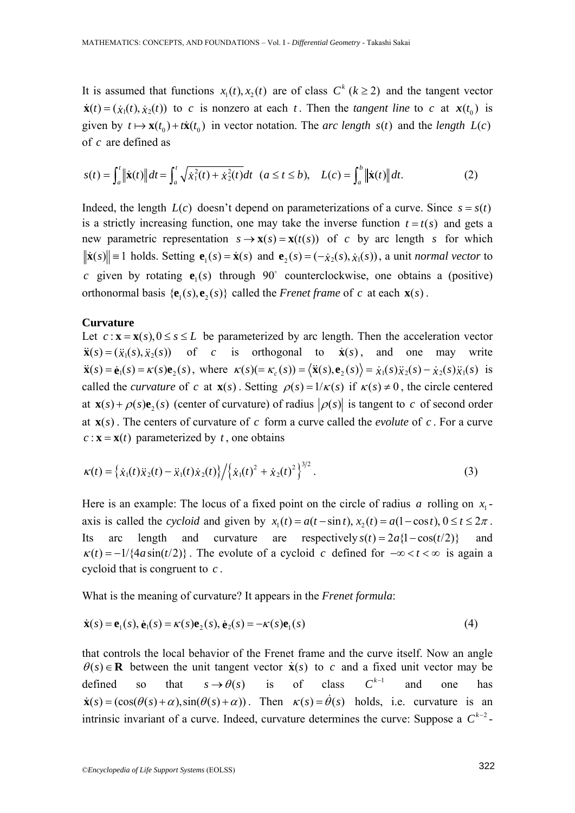It is assumed that functions  $x_i(t), x_i(t)$  are of class  $C^k$  ( $k \ge 2$ ) and the tangent vector  $\dot{\mathbf{x}}(t) = (\dot{x}_1(t), \dot{x}_2(t))$  to *c* is nonzero at each *t*. Then the *tangent line* to *c* at  $\mathbf{x}(t_0)$  is given by  $t \mapsto \mathbf{x}(t_0) + t\dot{\mathbf{x}}(t_0)$  in vector notation. The *arc length*  $s(t)$  and the *length*  $L(c)$ of *c* are defined as

$$
s(t) = \int_{a}^{t} \|\dot{\mathbf{x}}(t)\| dt = \int_{a}^{t} \sqrt{\dot{x}_{1}(t) + \dot{x}_{2}(t)} dt \quad (a \le t \le b), \quad L(c) = \int_{a}^{b} \|\dot{\mathbf{x}}(t)\| dt. \tag{2}
$$

Indeed, the length  $L(c)$  doesn't depend on parameterizations of a curve. Since  $s = s(t)$ is a strictly increasing function, one may take the inverse function  $t = t(s)$  and gets a new parametric representation  $s \rightarrow x(s) = x(t(s))$  of *c* by arc length *s* for which  $\|\dot{\mathbf{x}}(s)\|$  ≡ 1 holds. Setting  $\mathbf{e}_1(s) = \dot{\mathbf{x}}(s)$  and  $\mathbf{e}_2(s) = (-\dot{x}_2(s), \dot{x}_1(s))$ , a unit *normal vector* to  $c$  given by rotating  $e_1(s)$  through 90° counterclockwise, one obtains a (positive) orthonormal basis  $\{e_1(s), e_2(s)\}$  called the *Frenet frame* of *c* at each  $\mathbf{x}(s)$ .

#### **Curvature**

Let  $c : \mathbf{x} = \mathbf{x}(s), 0 \le s \le L$  be parameterized by arc length. Then the acceleration vector  $\ddot{\mathbf{x}}(s) = (\ddot{x}_1(s), \ddot{x}_2(s))$  of *c* is orthogonal to  $\dot{\mathbf{x}}(s)$ , and one may write  $\ddot{\mathbf{x}}(s) = \dot{\mathbf{e}}_1(s) = \kappa(s)\mathbf{e}_2(s)$ , where  $\kappa(s) = \kappa_c(s) = \langle \ddot{\mathbf{x}}(s), \mathbf{e}_2(s) \rangle = \dot{x}_1(s)\ddot{x}_2(s) - \dot{x}_2(s)\ddot{x}_1(s)$  is called the *curvature* of *c* at  $\mathbf{x}(s)$ . Setting  $\rho(s) = 1/\kappa(s)$  if  $\kappa(s) \neq 0$ , the circle centered at  $\mathbf{x}(s) + \rho(s)\mathbf{e}_{s}(s)$  (center of curvature) of radius  $|\rho(s)|$  is tangent to *c* of second order at  $\mathbf{x}(s)$ . The centers of curvature of *c* form a curve called the *evolute* of *c*. For a curve  $c: \mathbf{x} = \mathbf{x}(t)$  parameterized by *t*, one obtains

$$
\kappa(t) = \left\{ \dot{x}_1(t) \ddot{x}_2(t) - \ddot{x}_1(t) \dot{x}_2(t) \right\} / \left\{ \dot{x}_1(t)^2 + \dot{x}_2(t)^2 \right\}^{3/2}.
$$
 (3)

Here is an example: The locus of a fixed point on the circle of radius *a* rolling on  $x_1$ axis is called the *cycloid* and given by  $x_1(t) = a(t - \sin t)$ ,  $x_2(t) = a(1 - \cos t)$ ,  $0 \le t \le 2\pi$ . Its arc length and curvature are respectively  $s(t) = 2a(1 - \cos(t/2))$  and  $\kappa(t) = -\frac{1}{4a\sin(t/2)}$ . The evolute of a cycloid *c* defined for  $-\infty < t < \infty$  is again a cycloid that is congruent to *c* .

What is the meaning of curvature? It appears in the *Frenet formula*:

$$
\dot{\mathbf{x}}(s) = \mathbf{e}_1(s), \dot{\mathbf{e}}_1(s) = \kappa(s)\mathbf{e}_2(s), \dot{\mathbf{e}}_2(s) = -\kappa(s)\mathbf{e}_1(s)
$$
(4)

that controls the local behavior of the Frenet frame and the curve itself. Now an angle  $\theta(s) \in \mathbb{R}$  between the unit tangent vector  $\dot{\mathbf{x}}(s)$  to *c* and a fixed unit vector may be defined so that  $s \rightarrow \theta(s)$  is of class  $C^{k-1}$  and one has  $\dot{\mathbf{x}}(s) = (\cos(\theta(s) + \alpha), \sin(\theta(s) + \alpha))$ . Then  $\kappa(s) = \dot{\theta}(s)$  holds, i.e. curvature is an intrinsic invariant of a curve. Indeed, curvature determines the curve: Suppose a  $C^{k-2}$ -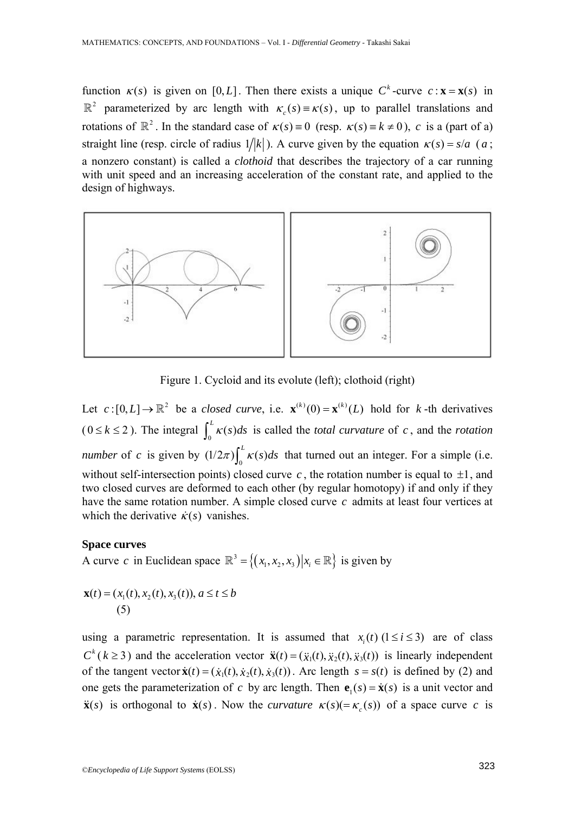function  $\kappa(s)$  is given on [0, L]. Then there exists a unique  $C^k$ -curve  $c : \mathbf{x} = \mathbf{x}(s)$  in  $\mathbb{R}^2$  parameterized by arc length with  $\kappa_c(s) = \kappa(s)$ , up to parallel translations and rotations of  $\mathbb{R}^2$ . In the standard case of  $\kappa(s) = 0$  (resp.  $\kappa(s) = k \neq 0$ ), *c* is a (part of a) straight line (resp. circle of radius  $1/|k|$ ). A curve given by the equation  $\kappa(s) = s/a$  (*a*; a nonzero constant) is called a *clothoid* that describes the trajectory of a car running with unit speed and an increasing acceleration of the constant rate, and applied to the design of highways.



Figure 1. Cycloid and its evolute (left); clothoid (right)

Let  $c:[0,L] \to \mathbb{R}^2$  be a *closed curve*, i.e.  $\mathbf{x}^{(k)}(0) = \mathbf{x}^{(k)}(L)$  hold for *k* -th derivatives  $(0 \le k \le 2)$ . The integral  $\int_0^L \kappa(s) ds$  is called the *total curvature* of *c*, and the *rotation number* of *c* is given by  $(1/2\pi) \int_0^L \kappa(s) ds$  that turned out an integer. For a simple (i.e. without self-intersection points) closed curve  $c$ , the rotation number is equal to  $\pm 1$ , and two closed curves are deformed to each other (by regular homotopy) if and only if they have the same rotation number. A simple closed curve *c* admits at least four vertices at which the derivative  $\dot{\kappa}(s)$  vanishes.

#### **Space curves**

A curve *c* in Euclidean space  $\mathbb{R}^3 = \{(x_1, x_2, x_3) | x_i \in \mathbb{R} \}$  is given by

$$
\mathbf{x}(t) = (x_1(t), x_2(t), x_3(t)), a \le t \le b
$$
  
(5)

using a parametric representation. It is assumed that  $x_i(t)$  ( $1 \le i \le 3$ ) are of class *C*<sup>*k*</sup> (*k* ≥ 3) and the acceleration vector  $\ddot{\mathbf{x}}(t) = (\ddot{x}_1(t), \ddot{x}_2(t), \ddot{x}_3(t))$  is linearly independent of the tangent vector  $\dot{\mathbf{x}}(t) = (\dot{x}_1(t), \dot{x}_2(t), \dot{x}_3(t))$ . Arc length  $s = s(t)$  is defined by (2) and one gets the parameterization of *c* by arc length. Then  $\mathbf{e}_1(s) = \dot{\mathbf{x}}(s)$  is a unit vector and  $\ddot{x}(s)$  is orthogonal to  $\dot{x}(s)$ . Now the *curvature*  $\kappa(s)$ (= $\kappa(s)$ ) of a space curve *c* is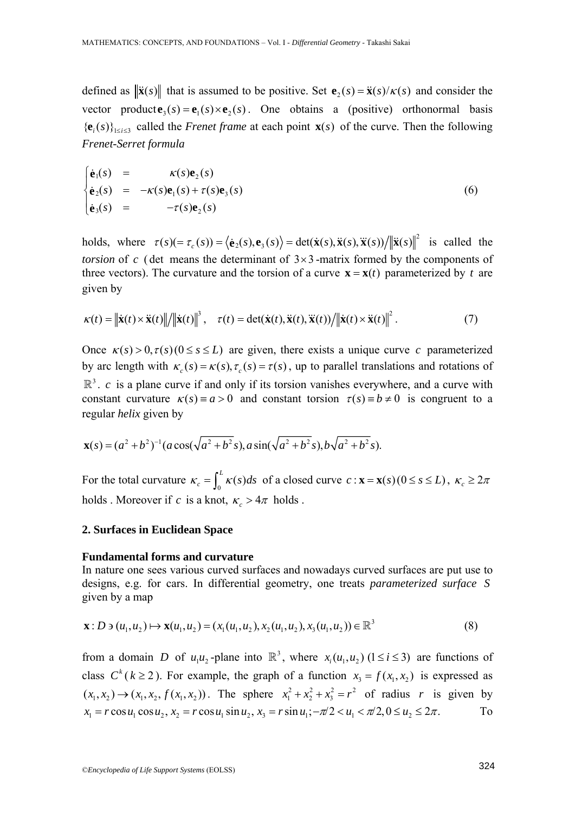defined as  $\|\ddot{\mathbf{x}}(s)\|$  that is assumed to be positive. Set  $\mathbf{e}_2(s) = \ddot{\mathbf{x}}(s)/\kappa(s)$  and consider the vector product  $\mathbf{e}_3(s) = \mathbf{e}_1(s) \times \mathbf{e}_2(s)$ . One obtains a (positive) orthonormal basis  ${ {\bf e}_i(s) }_{i < i < s}$  called the *Frenet frame* at each point  ${\bf x}(s)$  of the curve. Then the following *Frenet-Serret formula*

$$
\begin{cases}\n\dot{\mathbf{e}}_1(s) &= \kappa(s)\mathbf{e}_2(s) \\
\dot{\mathbf{e}}_2(s) &= -\kappa(s)\mathbf{e}_1(s) + \tau(s)\mathbf{e}_3(s) \\
\dot{\mathbf{e}}_3(s) &= -\tau(s)\mathbf{e}_2(s)\n\end{cases}
$$
\n(6)

holds, where  $\tau(s) = \langle \dot{\mathbf{e}}_2(s), \mathbf{e}_3(s) \rangle = \det(\dot{\mathbf{x}}(s), \ddot{\mathbf{x}}(s), \ddot{\mathbf{x}}(s)) / ||\ddot{\mathbf{x}}(s)||^2$  is called the *torsion* of *c* (det means the determinant of  $3 \times 3$ -matrix formed by the components of three vectors). The curvature and the torsion of a curve  $\mathbf{x} = \mathbf{x}(t)$  parameterized by *t* are given by

$$
\kappa(t) = \left\| \dot{\mathbf{x}}(t) \times \ddot{\mathbf{x}}(t) \right\| / \left\| \dot{\mathbf{x}}(t) \right\|^3, \quad \tau(t) = \det(\dot{\mathbf{x}}(t), \ddot{\mathbf{x}}(t), \ddot{\mathbf{x}}(t)) / \left\| \dot{\mathbf{x}}(t) \times \ddot{\mathbf{x}}(t) \right\|^2.
$$
 (7)

Once  $\kappa(s) > 0$ ,  $\tau(s)$  ( $0 \le s \le L$ ) are given, there exists a unique curve *c* parameterized by arc length with  $\kappa_c(s) = \kappa(s), \tau_c(s) = \tau(s)$ , up to parallel translations and rotations of  $\mathbb{R}^3$ . *c* is a plane curve if and only if its torsion vanishes everywhere, and a curve with constant curvature  $\kappa(s) = a > 0$  and constant torsion  $\tau(s) = b \neq 0$  is congruent to a regular *helix* given by

$$
\mathbf{x}(s) = (a^2 + b^2)^{-1} (a \cos(\sqrt{a^2 + b^2} s), a \sin(\sqrt{a^2 + b^2} s), b \sqrt{a^2 + b^2} s).
$$

For the total curvature  $\kappa_c = \int_0^L \kappa(s) ds$  of a closed curve  $c : \mathbf{x} = \mathbf{x}(s) (0 \le s \le L)$ ,  $\kappa_c \ge 2\pi$ holds . Moreover if *c* is a knot,  $\kappa_c > 4\pi$  holds.

#### **2. Surfaces in Euclidean Space**

#### **Fundamental forms and curvature**

In nature one sees various curved surfaces and nowadays curved surfaces are put use to designs, e.g. for cars. In differential geometry, one treats *parameterized surface S* given by a map

$$
\mathbf{x}: D \ni (u_1, u_2) \mapsto \mathbf{x}(u_1, u_2) = (x_1(u_1, u_2), x_2(u_1, u_2), x_3(u_1, u_2)) \in \mathbb{R}^3
$$
\n(8)

from a domain *D* of  $u_1 u_2$ -plane into  $\mathbb{R}^3$ , where  $x_i(u_1, u_2)$  ( $1 \le i \le 3$ ) are functions of class  $C^k$  ( $k \ge 2$ ). For example, the graph of a function  $x_3 = f(x_1, x_2)$  is expressed as  $(x_1, x_2) \rightarrow (x_1, x_2, f(x_1, x_2))$ . The sphere  $x_1^2 + x_2^2 + x_3^2 = r^2$  of radius *r* is given by  $x_1 = r \cos u_1 \cos u_2$ ,  $x_2 = r \cos u_1 \sin u_2$ ,  $x_3 = r \sin u_1$ ;  $-\pi/2 < u_1 < \pi/2$ ,  $0 \le u_2 \le 2\pi$ . To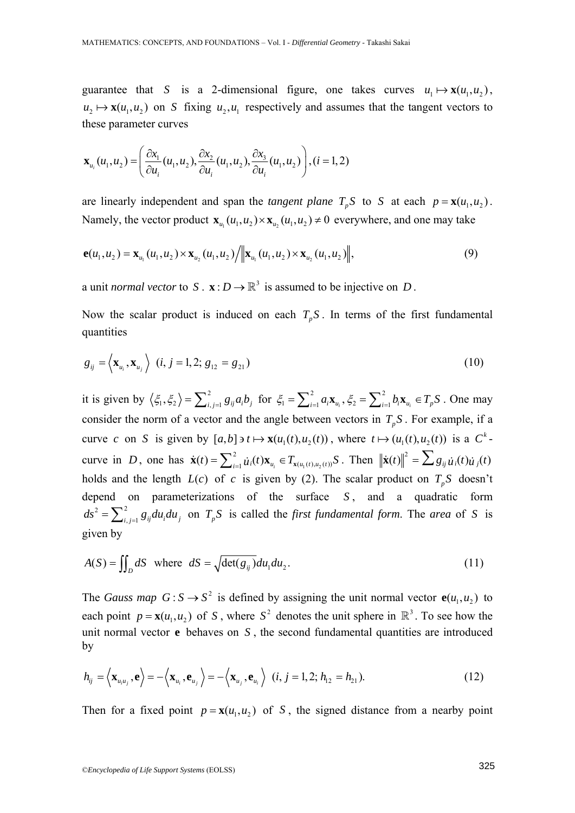guarantee that *S* is a 2-dimensional figure, one takes curves  $u_1 \mapsto \mathbf{x}(u_1, u_2)$ ,  $u_1 \mapsto \mathbf{x}(u_1, u_2)$  on *S* fixing  $u_2, u_1$  respectively and assumes that the tangent vectors to these parameter curves

$$
\mathbf{x}_{u_i}(u_1, u_2) = \left(\frac{\partial x_1}{\partial u_i}(u_1, u_2), \frac{\partial x_2}{\partial u_i}(u_1, u_2), \frac{\partial x_3}{\partial u_i}(u_1, u_2)\right), (i = 1, 2)
$$

are linearly independent and span the *tangent plane*  $T_p S$  to *S* at each  $p = \mathbf{x}(u_1, u_2)$ . Namely, the vector product  $\mathbf{x}_{u_1}(u_1, u_2) \times \mathbf{x}_{u_2}(u_1, u_2) \neq 0$  everywhere, and one may take

$$
\mathbf{e}(u_1, u_2) = \mathbf{x}_{u_1}(u_1, u_2) \times \mathbf{x}_{u_2}(u_1, u_2) / \|\mathbf{x}_{u_1}(u_1, u_2) \times \mathbf{x}_{u_2}(u_1, u_2)\|,
$$
\n(9)

a unit *normal vector* to *S* .  $\mathbf{x}: D \to \mathbb{R}^3$  is assumed to be injective on *D*.

Now the scalar product is induced on each  $T_p S$ . In terms of the first fundamental quantities

$$
g_{ij} = \langle \mathbf{x}_{u_i}, \mathbf{x}_{u_j} \rangle \quad (i, j = 1, 2; g_{12} = g_{21})
$$
 (10)

it is given by  $\langle \xi_1, \xi_2 \rangle = \sum_{i,j=1}^2 g_{ij} a_i b_j$  for  $\xi_1 = \sum_{i=1}^2 a_i \mathbf{x}_{u_i}, \xi_2 = \sum_{i=1}^2 b_i \mathbf{x}_{u_i} \in T_p S$ . One may consider the norm of a vector and the angle between vectors in  $T_{p}S$ . For example, if a curve *c* on *S* is given by  $[a,b] \ni t \mapsto \mathbf{x}(u_1(t),u_2(t))$ , where  $t \mapsto (u_1(t),u_2(t))$  is a  $C^k$ . curve in D, one has  $\dot{\mathbf{x}}(t) = \sum_{i=1}^{2} \dot{u}_i(t) \mathbf{x}_{u_i} \in T_{\mathbf{x}(u_1(t), u_2(t))} S$ . Then  $\|\dot{\mathbf{x}}(t)\|^2 = \sum g_{ij} \dot{u}_i(t) \dot{u}_j(t)$ holds and the length  $L(c)$  of *c* is given by (2). The scalar product on  $T_pS$  doesn't depend on parameterizations of the surface *S*, and a quadratic form  $ds^2 = \sum_{i,j=1}^2 g_{ij} du_i du_j$  on  $T_p S$  is called the *first fundamental form*. The *area* of *S* is given by

$$
A(S) = \iint_D dS \quad \text{where} \quad dS = \sqrt{\det(g_{ij})} du_1 du_2. \tag{11}
$$

The *Gauss map*  $G: S \to S^2$  is defined by assigning the unit normal vector  $e(u_1, u_2)$  to each point  $p = \mathbf{x}(u_1, u_2)$  of *S*, where  $S^2$  denotes the unit sphere in  $\mathbb{R}^3$ . To see how the unit normal vector **e** behaves on *S* , the second fundamental quantities are introduced by

$$
h_{ij} = \left\langle \mathbf{x}_{u_i u_j}, \mathbf{e} \right\rangle = -\left\langle \mathbf{x}_{u_i}, \mathbf{e}_{u_j} \right\rangle = -\left\langle \mathbf{x}_{u_j}, \mathbf{e}_{u_i} \right\rangle \ (i, j = 1, 2; h_{12} = h_{21}). \tag{12}
$$

Then for a fixed point  $p = x(u_1, u_2)$  of *S*, the signed distance from a nearby point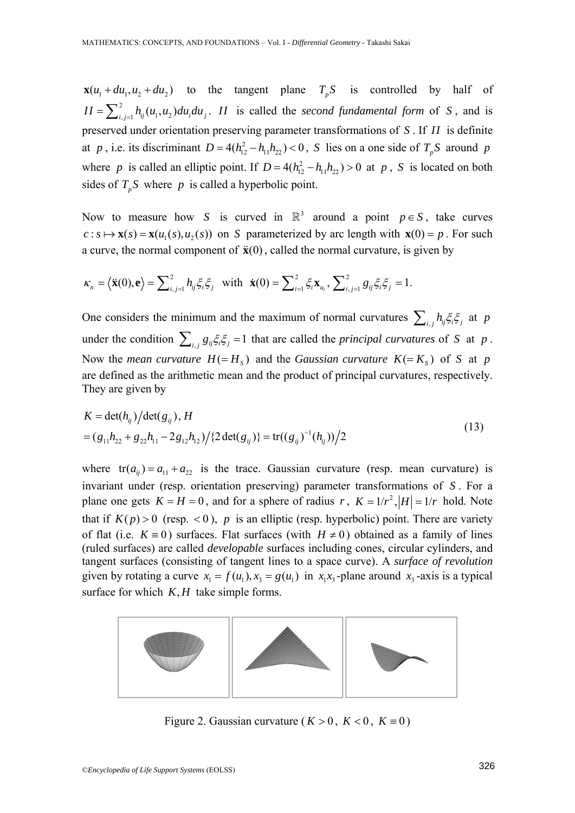$\mathbf{x}(u_1 + du_1, u_2 + du_2)$  to the tangent plane  $T_p S$  is controlled by half of  $II = \sum_{i,j=1}^{2} h_{ij}(u_1, u_2) du_i du_j$ . II is called the *second fundamental form* of *S*, and is preserved under orientation preserving parameter transformations of *S* . If *II* is definite at *p*, i.e. its discriminant  $D = 4(h_{12}^2 - h_{11}h_{22}) < 0$ , *S* lies on a one side of  $T_pS$  around *p* where *p* is called an elliptic point. If  $D = 4(h_{12}^2 - h_{11}h_{22}) > 0$  at *p*, *S* is located on both sides of  $T_p S$  where *p* is called a hyperbolic point.

Now to measure how *S* is curved in  $\mathbb{R}^3$  around a point  $p \in S$ , take curves  $c: s \mapsto \mathbf{x}(s) = \mathbf{x}(u_1(s), u_2(s))$  on *S* parameterized by arc length with  $\mathbf{x}(0) = p$ . For such a curve, the normal component of  $\ddot{x}(0)$ , called the normal curvature, is given by

$$
\kappa_n = \langle \ddot{\mathbf{x}}(0), \mathbf{e} \rangle = \sum_{i,j=1}^2 h_{ij} \xi_i \xi_j \quad \text{with} \quad \dot{\mathbf{x}}(0) = \sum_{i=1}^2 \xi_i \mathbf{x}_{u_i}, \sum_{i,j=1}^2 g_{ij} \xi_i \xi_j = 1.
$$

One considers the minimum and the maximum of normal curvatures  $\sum_{i,j} h_{ij} \xi_i \xi_j$  at *p* under the condition  $\sum_{i,j} g_{ij} \xi_i \xi_j = 1$  that are called the *principal curvatures* of *S* at *p*. Now the *mean curvature*  $H(=H_s)$  and the *Gaussian curvature*  $K(=K_s)$  of *S* at *p* are defined as the arithmetic mean and the product of principal curvatures, respectively. They are given by

$$
K = \det(h_{ij})/\det(g_{ij}), H
$$
  
=  $(g_{11}h_{22} + g_{22}h_{11} - 2g_{12}h_{12})/ {2 \det(g_{ij})} = tr((g_{ij})^{-1}(h_{ij}))/2$  (13)

where  $tr(a_{ii}) = a_{11} + a_{22}$  is the trace. Gaussian curvature (resp. mean curvature) is invariant under (resp. orientation preserving) parameter transformations of *S* . For a plane one gets  $K = H = 0$ , and for a sphere of radius r,  $K = 1/r^2$ ,  $|H| = 1/r$  hold. Note that if  $K(p) > 0$  (resp.  $\lt 0$ ), *p* is an elliptic (resp. hyperbolic) point. There are variety of flat (i.e.  $K = 0$ ) surfaces. Flat surfaces (with  $H \neq 0$ ) obtained as a family of lines (ruled surfaces) are called *developable* surfaces including cones, circular cylinders, and tangent surfaces (consisting of tangent lines to a space curve). A *surface of revolution* given by rotating a curve  $x_1 = f(u_1)$ ,  $x_2 = g(u_1)$  in  $x_1x_2$ -plane around  $x_2$ -axis is a typical surface for which *K*, *H* take simple forms.



Figure 2. Gaussian curvature ( $K > 0$ ,  $K < 0$ ,  $K \equiv 0$ )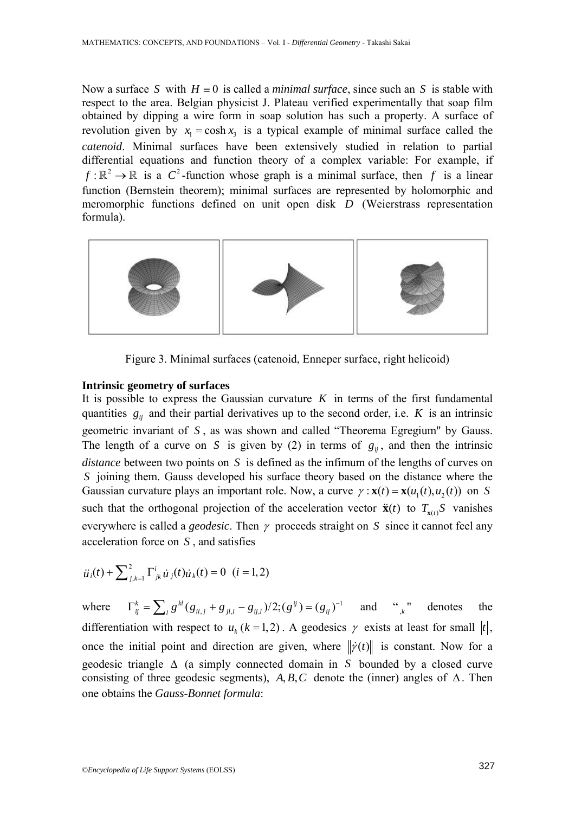Now a surface *S* with  $H \equiv 0$  is called a *minimal surface*, since such an *S* is stable with respect to the area. Belgian physicist J. Plateau verified experimentally that soap film obtained by dipping a wire form in soap solution has such a property. A surface of revolution given by  $x_1 = \cosh x_2$  is a typical example of minimal surface called the *catenoid*. Minimal surfaces have been extensively studied in relation to partial differential equations and function theory of a complex variable: For example, if  $f : \mathbb{R}^2 \to \mathbb{R}$  is a  $C^2$ -function whose graph is a minimal surface, then f is a linear function (Bernstein theorem); minimal surfaces are represented by holomorphic and meromorphic functions defined on unit open disk *D* (Weierstrass representation formula).



Figure 3. Minimal surfaces (catenoid, Enneper surface, right helicoid)

## **Intrinsic geometry of surfaces**

It is possible to express the Gaussian curvature  $K$  in terms of the first fundamental quantities  $g_{ii}$  and their partial derivatives up to the second order, i.e. *K* is an intrinsic geometric invariant of *S* , as was shown and called "Theorema Egregium" by Gauss. The length of a curve on *S* is given by (2) in terms of  $g_{ii}$ , and then the intrinsic *distance* between two points on *S* is defined as the infimum of the lengths of curves on *S* joining them. Gauss developed his surface theory based on the distance where the Gaussian curvature plays an important role. Now, a curve  $\gamma$  :  $\mathbf{x}(t) = \mathbf{x}(u_1(t), u_2(t))$  on *S* such that the orthogonal projection of the acceleration vector  $\ddot{\mathbf{x}}(t)$  to  $T_{\mathbf{x}(t)}S$  vanishes everywhere is called a *geodesic*. Then γ proceeds straight on *S* since it cannot feel any acceleration force on *S* , and satisfies

$$
\ddot{u}_i(t) + \sum_{j,k=1}^2 \Gamma^i_{jk} \dot{u}_j(t) \dot{u}_k(t) = 0 \quad (i = 1, 2)
$$

where  $\Gamma_{ij}^k = \sum_{i} g^{kl} (g_{il,j} + g_{jl,i} - g_{ij,l})/2$ ;  $(g^{ij}) = (g_{ij})^{-1}$  and ",<sup>n</sup>" denotes the differentiation with respect to  $u_k$  ( $k = 1, 2$ ). A geodesics  $\gamma$  exists at least for small  $|t|$ , once the initial point and direction are given, where  $\|\dot{\gamma}(t)\|$  is constant. Now for a geodesic triangle Δ (a simply connected domain in *S* bounded by a closed curve consisting of three geodesic segments),  $A, B, C$  denote the (inner) angles of  $\Delta$ . Then one obtains the *Gauss-Bonnet formula*: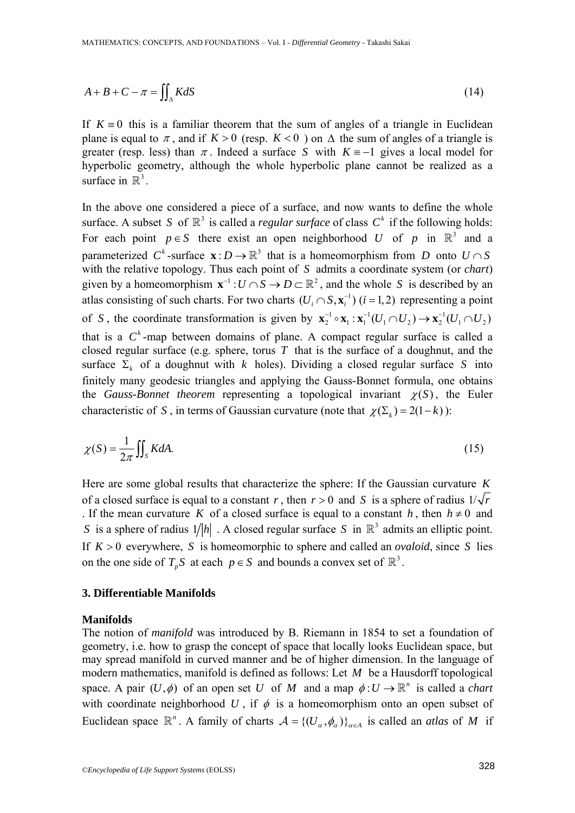$$
A + B + C - \pi = \iint_{\Delta} K dS \tag{14}
$$

If  $K \equiv 0$  this is a familiar theorem that the sum of angles of a triangle in Euclidean plane is equal to  $\pi$ , and if  $K > 0$  (resp.  $K < 0$ ) on  $\Delta$  the sum of angles of a triangle is greater (resp. less) than  $\pi$ . Indeed a surface *S* with  $K = -1$  gives a local model for hyperbolic geometry, although the whole hyperbolic plane cannot be realized as a surface in  $\mathbb{R}^3$ .

In the above one considered a piece of a surface, and now wants to define the whole surface. A subset *S* of  $\mathbb{R}^3$  is called a *regular surface* of class  $C^k$  if the following holds: For each point  $p \in S$  there exist an open neighborhood *U* of *p* in  $\mathbb{R}^3$  and a parameterized *C*<sup>k</sup>-surface  $\mathbf{x}: D \to \mathbb{R}^3$  that is a homeomorphism from *D* onto  $U \cap S$ with the relative topology. Thus each point of *S* admits a coordinate system (or *chart*) given by a homeomorphism  $\mathbf{x}^{-1}$ :  $U \cap S \to D \subset \mathbb{R}^2$ , and the whole *S* is described by an atlas consisting of such charts. For two charts  $(U_i \cap S, \mathbf{x}_i^{-1})$   $(i = 1, 2)$  representing a point of *S*, the coordinate transformation is given by  $\mathbf{x}_2^{-1} \circ \mathbf{x}_1 : \mathbf{x}_1^{-1}(U_1 \cap U_2) \to \mathbf{x}_2^{-1}(U_1 \cap U_2)$ that is a  $C<sup>k</sup>$ -map between domains of plane. A compact regular surface is called a closed regular surface (e.g. sphere, torus *T* that is the surface of a doughnut, and the surface  $\Sigma_k$  of a doughnut with *k* holes). Dividing a closed regular surface *S* into finitely many geodesic triangles and applying the Gauss-Bonnet formula, one obtains the *Gauss-Bonnet theorem* representing a topological invariant  $\chi(S)$ , the Euler characteristic of *S*, in terms of Gaussian curvature (note that  $\chi(\Sigma_k) = 2(1 - k)$ ):

$$
\chi(S) = \frac{1}{2\pi} \iint_{S} K dA. \tag{15}
$$

Here are some global results that characterize the sphere: If the Gaussian curvature *K* of a closed surface is equal to a constant *r*, then  $r > 0$  and *S* is a sphere of radius  $1/\sqrt{r}$ . If the mean curvature *K* of a closed surface is equal to a constant *h*, then  $h \neq 0$  and *S* is a sphere of radius  $1/h$  . A closed regular surface *S* in  $\mathbb{R}^3$  admits an elliptic point. If  $K > 0$  everywhere, *S* is homeomorphic to sphere and called an *ovaloid*, since *S* lies on the one side of  $T_p S$  at each  $p \in S$  and bounds a convex set of  $\mathbb{R}^3$ .

## **3. Differentiable Manifolds**

#### **Manifolds**

The notion of *manifold* was introduced by B. Riemann in 1854 to set a foundation of geometry, i.e. how to grasp the concept of space that locally looks Euclidean space, but may spread manifold in curved manner and be of higher dimension. In the language of modern mathematics, manifold is defined as follows: Let *M* be a Hausdorff topological space. A pair  $(U, \phi)$  of an open set *U* of *M* and a map  $\phi: U \to \mathbb{R}^n$  is called a *chart* with coordinate neighborhood  $U$ , if  $\phi$  is a homeomorphism onto an open subset of Euclidean space  $\mathbb{R}^n$ . A family of charts  $A = \{ (U_\alpha, \phi_\alpha) \}_{\alpha \in A}$  is called an *atlas* of *M* if